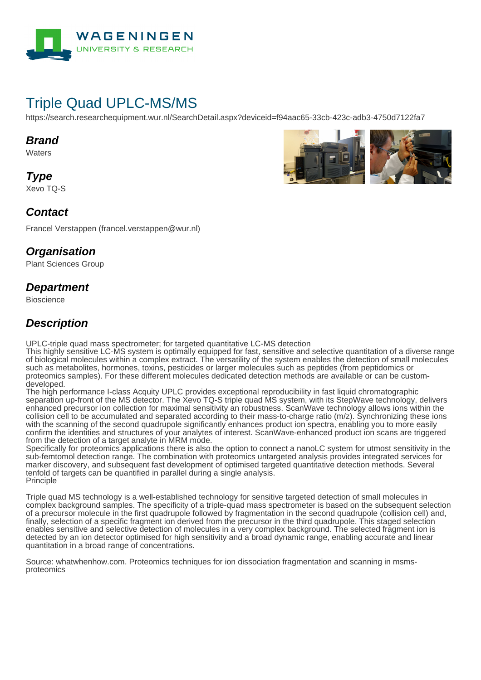

# Triple Quad UPLC-MS/MS

https://search.researchequipment.wur.nl/SearchDetail.aspx?deviceid=f94aac65-33cb-423c-adb3-4750d7122fa7

#### **Brand**

**Waters** 

**Type** Xevo TQ-S



#### **Contact**

Francel Verstappen (francel.verstappen@wur.nl)

#### **Organisation**

Plant Sciences Group

#### **Department**

**Bioscience** 

### **Description**

UPLC-triple quad mass spectrometer; for targeted quantitative LC-MS detection

This highly sensitive LC-MS system is optimally equipped for fast, sensitive and selective quantitation of a diverse range of biological molecules within a complex extract. The versatility of the system enables the detection of small molecules such as metabolites, hormones, toxins, pesticides or larger molecules such as peptides (from peptidomics or proteomics samples). For these different molecules dedicated detection methods are available or can be customdeveloped.

The high performance I-class Acquity UPLC provides exceptional reproducibility in fast liquid chromatographic separation up-front of the MS detector. The Xevo TQ-S triple quad MS system, with its StepWave technology, delivers enhanced precursor ion collection for maximal sensitivity an robustness. ScanWave technology allows ions within the collision cell to be accumulated and separated according to their mass-to-charge ratio (m/z). Synchronizing these ions with the scanning of the second quadrupole significantly enhances product ion spectra, enabling you to more easily confirm the identities and structures of your analytes of interest. ScanWave-enhanced product ion scans are triggered from the detection of a target analyte in MRM mode.

Specifically for proteomics applications there is also the option to connect a nanoLC system for utmost sensitivity in the sub-femtomol detection range. The combination with proteomics untargeted analysis provides integrated services for marker discovery, and subsequent fast development of optimised targeted quantitative detection methods. Several tenfold of targets can be quantified in parallel during a single analysis. Principle

Triple quad MS technology is a well-established technology for sensitive targeted detection of small molecules in complex background samples. The specificity of a triple-quad mass spectrometer is based on the subsequent selection of a precursor molecule in the first quadrupole followed by fragmentation in the second quadrupole (collision cell) and, finally, selection of a specific fragment ion derived from the precursor in the third quadrupole. This staged selection enables sensitive and selective detection of molecules in a very complex background. The selected fragment ion is detected by an ion detector optimised for high sensitivity and a broad dynamic range, enabling accurate and linear quantitation in a broad range of concentrations.

Source: whatwhenhow.com. Proteomics techniques for ion dissociation fragmentation and scanning in msmsproteomics